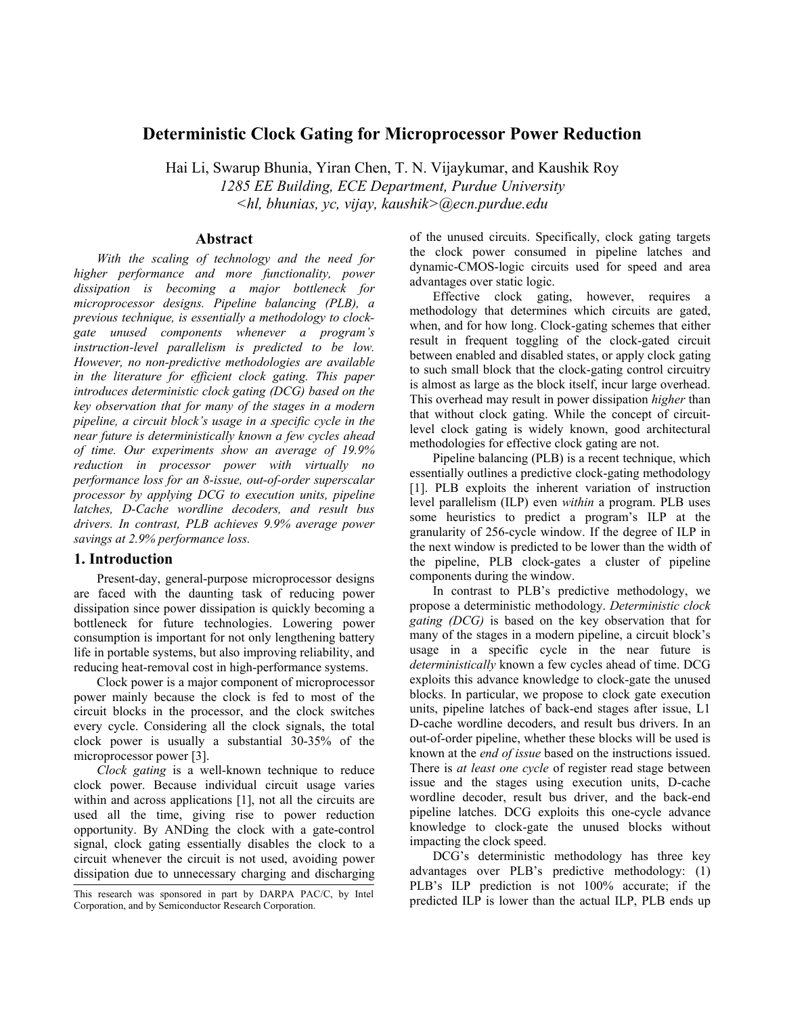# **Deterministic Clock Gating for Microprocessor Power Reduction**

Hai Li, Swarup Bhunia, Yiran Chen, T. N. Vijaykumar, and Kaushik Roy *1285 EE Building, ECE Department, Purdue University <hl, bhunias, yc, vijay, kaushik>@ecn.purdue.edu* 

## **Abstract**

*With the scaling of technology and the need for higher performance and more functionality, power dissipation is becoming a major bottleneck for microprocessor designs. Pipeline balancing (PLB), a previous technique, is essentially a methodology to clockgate unused components whenever a program's instruction-level parallelism is predicted to be low. However, no non-predictive methodologies are available in the literature for efficient clock gating. This paper introduces deterministic clock gating (DCG) based on the key observation that for many of the stages in a modern pipeline, a circuit block's usage in a specific cycle in the near future is deterministically known a few cycles ahead of time. Our experiments show an average of 19.9% reduction in processor power with virtually no performance loss for an 8-issue, out-of-order superscalar processor by applying DCG to execution units, pipeline latches, D-Cache wordline decoders, and result bus drivers. In contrast, PLB achieves 9.9% average power savings at 2.9% performance loss.* 

## **1. Introduction**

Present-day, general-purpose microprocessor designs are faced with the daunting task of reducing power dissipation since power dissipation is quickly becoming a bottleneck for future technologies. Lowering power consumption is important for not only lengthening battery life in portable systems, but also improving reliability, and reducing heat-removal cost in high-performance systems.

Clock power is a major component of microprocessor power mainly because the clock is fed to most of the circuit blocks in the processor, and the clock switches every cycle. Considering all the clock signals, the total clock power is usually a substantial 30-35% of the microprocessor power [3].

*Clock gating* is a well-known technique to reduce clock power. Because individual circuit usage varies within and across applications [1], not all the circuits are used all the time, giving rise to power reduction opportunity. By ANDing the clock with a gate-control signal, clock gating essentially disables the clock to a circuit whenever the circuit is not used, avoiding power dissipation due to unnecessary charging and discharging of the unused circuits. Specifically, clock gating targets the clock power consumed in pipeline latches and dynamic-CMOS-logic circuits used for speed and area advantages over static logic.

Effective clock gating, however, requires a methodology that determines which circuits are gated, when, and for how long. Clock-gating schemes that either result in frequent toggling of the clock-gated circuit between enabled and disabled states, or apply clock gating to such small block that the clock-gating control circuitry is almost as large as the block itself, incur large overhead. This overhead may result in power dissipation *higher* than that without clock gating. While the concept of circuitlevel clock gating is widely known, good architectural methodologies for effective clock gating are not.

Pipeline balancing (PLB) is a recent technique, which essentially outlines a predictive clock-gating methodology [1]. PLB exploits the inherent variation of instruction level parallelism (ILP) even *within* a program. PLB uses some heuristics to predict a program's ILP at the granularity of 256-cycle window. If the degree of ILP in the next window is predicted to be lower than the width of the pipeline, PLB clock-gates a cluster of pipeline components during the window.

In contrast to PLB's predictive methodology, we propose a deterministic methodology. *Deterministic clock gating (DCG)* is based on the key observation that for many of the stages in a modern pipeline, a circuit block's usage in a specific cycle in the near future is *deterministically* known a few cycles ahead of time. DCG exploits this advance knowledge to clock-gate the unused blocks. In particular, we propose to clock gate execution units, pipeline latches of back-end stages after issue, L1 D-cache wordline decoders, and result bus drivers. In an out-of-order pipeline, whether these blocks will be used is known at the *end of issue* based on the instructions issued. There is *at least one cycle* of register read stage between issue and the stages using execution units, D-cache wordline decoder, result bus driver, and the back-end pipeline latches. DCG exploits this one-cycle advance knowledge to clock-gate the unused blocks without impacting the clock speed.

DCG's deterministic methodology has three key advantages over PLB's predictive methodology: (1) PLB's ILP prediction is not 100% accurate; if the predicted ILP is lower than the actual ILP, PLB ends up

This research was sponsored in part by DARPA PAC/C, by Intel Corporation, and by Semiconductor Research Corporation.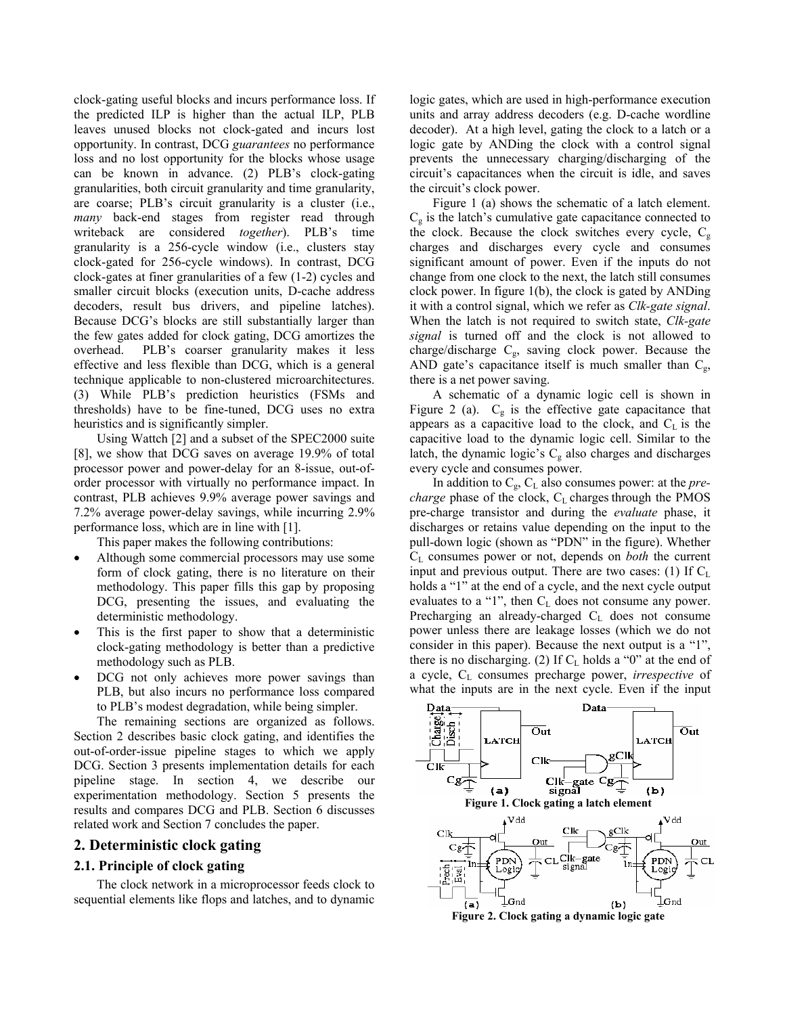clock-gating useful blocks and incurs performance loss. If the predicted ILP is higher than the actual ILP, PLB leaves unused blocks not clock-gated and incurs lost opportunity. In contrast, DCG *guarantees* no performance loss and no lost opportunity for the blocks whose usage can be known in advance. (2) PLB's clock-gating granularities, both circuit granularity and time granularity, are coarse; PLB's circuit granularity is a cluster (i.e., *many* back-end stages from register read through writeback are considered *together*). PLB's time granularity is a 256-cycle window (i.e., clusters stay clock-gated for 256-cycle windows). In contrast, DCG clock-gates at finer granularities of a few (1-2) cycles and smaller circuit blocks (execution units, D-cache address decoders, result bus drivers, and pipeline latches). Because DCG's blocks are still substantially larger than the few gates added for clock gating, DCG amortizes the overhead. PLB's coarser granularity makes it less effective and less flexible than DCG, which is a general technique applicable to non-clustered microarchitectures. (3) While PLB's prediction heuristics (FSMs and thresholds) have to be fine-tuned, DCG uses no extra heuristics and is significantly simpler.

Using Wattch [2] and a subset of the SPEC2000 suite [8], we show that DCG saves on average 19.9% of total processor power and power-delay for an 8-issue, out-oforder processor with virtually no performance impact. In contrast, PLB achieves 9.9% average power savings and 7.2% average power-delay savings, while incurring 2.9% performance loss, which are in line with [1].

This paper makes the following contributions:

- Although some commercial processors may use some form of clock gating, there is no literature on their methodology. This paper fills this gap by proposing DCG, presenting the issues, and evaluating the deterministic methodology.
- This is the first paper to show that a deterministic clock-gating methodology is better than a predictive methodology such as PLB.
- DCG not only achieves more power savings than PLB, but also incurs no performance loss compared to PLB's modest degradation, while being simpler.

The remaining sections are organized as follows. Section 2 describes basic clock gating, and identifies the out-of-order-issue pipeline stages to which we apply DCG. Section 3 presents implementation details for each pipeline stage. In section 4, we describe our experimentation methodology. Section 5 presents the results and compares DCG and PLB. Section 6 discusses related work and Section 7 concludes the paper.

## **2. Deterministic clock gating**

#### **2.1. Principle of clock gating**

The clock network in a microprocessor feeds clock to sequential elements like flops and latches, and to dynamic

logic gates, which are used in high-performance execution units and array address decoders (e.g. D-cache wordline decoder). At a high level, gating the clock to a latch or a logic gate by ANDing the clock with a control signal prevents the unnecessary charging/discharging of the circuit's capacitances when the circuit is idle, and saves the circuit's clock power.

Figure 1 (a) shows the schematic of a latch element.  $C<sub>g</sub>$  is the latch's cumulative gate capacitance connected to the clock. Because the clock switches every cycle,  $C_g$ charges and discharges every cycle and consumes significant amount of power. Even if the inputs do not change from one clock to the next, the latch still consumes clock power. In figure 1(b), the clock is gated by ANDing it with a control signal, which we refer as *Clk-gate signal*. When the latch is not required to switch state, *Clk-gate signal* is turned off and the clock is not allowed to charge/discharge  $C_g$ , saving clock power. Because the AND gate's capacitance itself is much smaller than  $C_{\rm g}$ , there is a net power saving.

A schematic of a dynamic logic cell is shown in Figure 2 (a).  $C_g$  is the effective gate capacitance that appears as a capacitive load to the clock, and  $C_{L}$  is the capacitive load to the dynamic logic cell. Similar to the latch, the dynamic logic's  $C_g$  also charges and discharges every cycle and consumes power.

In addition to Cg, CL also consumes power: at the *precharge* phase of the clock, C<sub>L</sub> charges through the PMOS pre-charge transistor and during the *evaluate* phase, it discharges or retains value depending on the input to the pull-down logic (shown as "PDN" in the figure). Whether CL consumes power or not, depends on *both* the current input and previous output. There are two cases: (1) If  $C_L$ holds a "1" at the end of a cycle, and the next cycle output evaluates to a "1", then  $C_L$  does not consume any power. Precharging an already-charged C<sub>L</sub> does not consume power unless there are leakage losses (which we do not consider in this paper). Because the next output is a "1", there is no discharging. (2) If  $C<sub>L</sub>$  holds a "0" at the end of a cycle, CL consumes precharge power, *irrespective* of what the inputs are in the next cycle. Even if the input



**Figure 2. Clock gating a dynamic logic gate**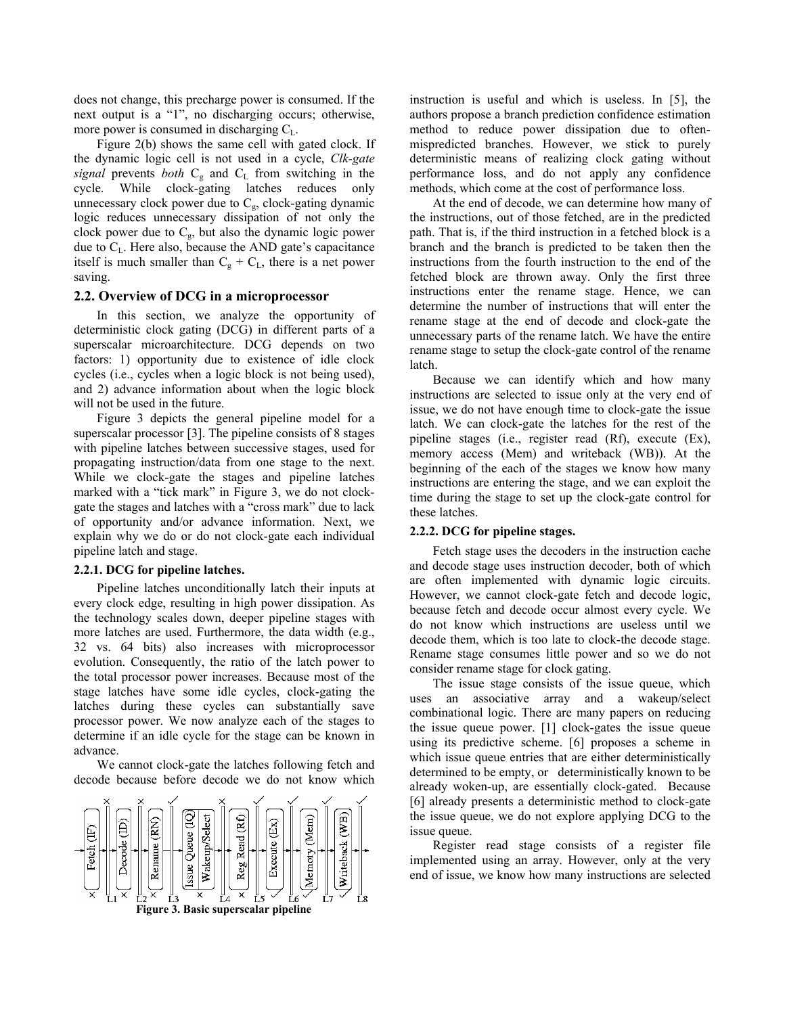does not change, this precharge power is consumed. If the next output is a "1", no discharging occurs; otherwise, more power is consumed in discharging  $C_{\text{L}}$ .

Figure 2(b) shows the same cell with gated clock. If the dynamic logic cell is not used in a cycle, *Clk-gate signal* prevents *both*  $C_g$  and  $C_L$  from switching in the cycle. While clock-gating latches reduces only unnecessary clock power due to  $C_{\rm g}$ , clock-gating dynamic logic reduces unnecessary dissipation of not only the clock power due to  $C_{g}$ , but also the dynamic logic power due to  $C_L$ . Here also, because the AND gate's capacitance itself is much smaller than  $C_g + C_L$ , there is a net power saving.

### **2.2. Overview of DCG in a microprocessor**

In this section, we analyze the opportunity of deterministic clock gating (DCG) in different parts of a superscalar microarchitecture. DCG depends on two factors: 1) opportunity due to existence of idle clock cycles (i.e., cycles when a logic block is not being used), and 2) advance information about when the logic block will not be used in the future.

Figure 3 depicts the general pipeline model for a superscalar processor [3]. The pipeline consists of 8 stages with pipeline latches between successive stages, used for propagating instruction/data from one stage to the next. While we clock-gate the stages and pipeline latches marked with a "tick mark" in Figure 3, we do not clockgate the stages and latches with a "cross mark" due to lack of opportunity and/or advance information. Next, we explain why we do or do not clock-gate each individual pipeline latch and stage.

#### **2.2.1. DCG for pipeline latches.**

Pipeline latches unconditionally latch their inputs at every clock edge, resulting in high power dissipation. As the technology scales down, deeper pipeline stages with more latches are used. Furthermore, the data width (e.g., 32 vs. 64 bits) also increases with microprocessor evolution. Consequently, the ratio of the latch power to the total processor power increases. Because most of the stage latches have some idle cycles, clock-gating the latches during these cycles can substantially save processor power. We now analyze each of the stages to determine if an idle cycle for the stage can be known in advance.

We cannot clock-gate the latches following fetch and decode because before decode we do not know which



instruction is useful and which is useless. In [5], the authors propose a branch prediction confidence estimation method to reduce power dissipation due to oftenmispredicted branches. However, we stick to purely deterministic means of realizing clock gating without performance loss, and do not apply any confidence methods, which come at the cost of performance loss.

At the end of decode, we can determine how many of the instructions, out of those fetched, are in the predicted path. That is, if the third instruction in a fetched block is a branch and the branch is predicted to be taken then the instructions from the fourth instruction to the end of the fetched block are thrown away. Only the first three instructions enter the rename stage. Hence, we can determine the number of instructions that will enter the rename stage at the end of decode and clock-gate the unnecessary parts of the rename latch. We have the entire rename stage to setup the clock-gate control of the rename latch.

Because we can identify which and how many instructions are selected to issue only at the very end of issue, we do not have enough time to clock-gate the issue latch. We can clock-gate the latches for the rest of the pipeline stages (i.e., register read (Rf), execute (Ex), memory access (Mem) and writeback (WB)). At the beginning of the each of the stages we know how many instructions are entering the stage, and we can exploit the time during the stage to set up the clock-gate control for these latches.

#### **2.2.2. DCG for pipeline stages.**

Fetch stage uses the decoders in the instruction cache and decode stage uses instruction decoder, both of which are often implemented with dynamic logic circuits. However, we cannot clock-gate fetch and decode logic, because fetch and decode occur almost every cycle. We do not know which instructions are useless until we decode them, which is too late to clock-the decode stage. Rename stage consumes little power and so we do not consider rename stage for clock gating.

The issue stage consists of the issue queue, which uses an associative array and a wakeup/select combinational logic. There are many papers on reducing the issue queue power. [1] clock-gates the issue queue using its predictive scheme. [6] proposes a scheme in which issue queue entries that are either deterministically determined to be empty, or deterministically known to be already woken-up, are essentially clock-gated. Because [6] already presents a deterministic method to clock-gate the issue queue, we do not explore applying DCG to the issue queue.

Register read stage consists of a register file implemented using an array. However, only at the very end of issue, we know how many instructions are selected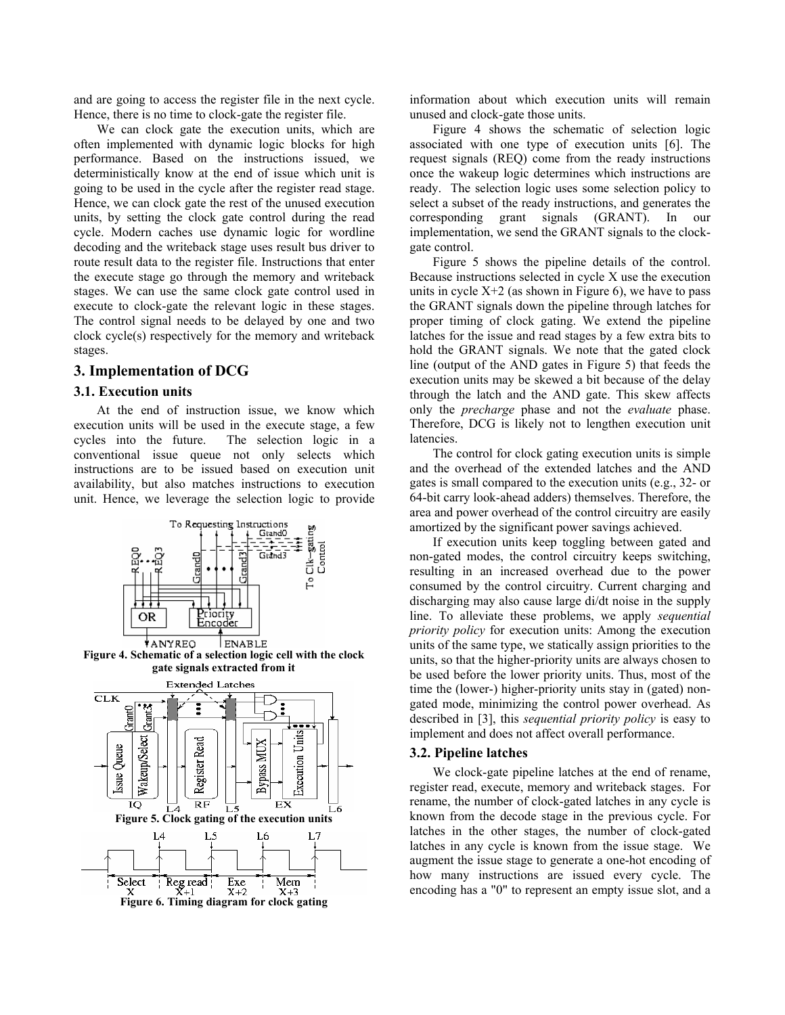and are going to access the register file in the next cycle. Hence, there is no time to clock-gate the register file.

We can clock gate the execution units, which are often implemented with dynamic logic blocks for high performance. Based on the instructions issued, we deterministically know at the end of issue which unit is going to be used in the cycle after the register read stage. Hence, we can clock gate the rest of the unused execution units, by setting the clock gate control during the read cycle. Modern caches use dynamic logic for wordline decoding and the writeback stage uses result bus driver to route result data to the register file. Instructions that enter the execute stage go through the memory and writeback stages. We can use the same clock gate control used in execute to clock-gate the relevant logic in these stages. The control signal needs to be delayed by one and two clock cycle(s) respectively for the memory and writeback stages.

### **3. Implementation of DCG**

#### **3.1. Execution units**

At the end of instruction issue, we know which execution units will be used in the execute stage, a few cycles into the future. The selection logic in a conventional issue queue not only selects which instructions are to be issued based on execution unit availability, but also matches instructions to execution unit. Hence, we leverage the selection logic to provide







information about which execution units will remain unused and clock-gate those units.

Figure 4 shows the schematic of selection logic associated with one type of execution units [6]. The request signals (REQ) come from the ready instructions once the wakeup logic determines which instructions are ready. The selection logic uses some selection policy to select a subset of the ready instructions, and generates the corresponding grant signals (GRANT). In our implementation, we send the GRANT signals to the clockgate control.

Figure 5 shows the pipeline details of the control. Because instructions selected in cycle X use the execution units in cycle  $X+2$  (as shown in Figure 6), we have to pass the GRANT signals down the pipeline through latches for proper timing of clock gating. We extend the pipeline latches for the issue and read stages by a few extra bits to hold the GRANT signals. We note that the gated clock line (output of the AND gates in Figure 5) that feeds the execution units may be skewed a bit because of the delay through the latch and the AND gate. This skew affects only the *precharge* phase and not the *evaluate* phase. Therefore, DCG is likely not to lengthen execution unit latencies.

The control for clock gating execution units is simple and the overhead of the extended latches and the AND gates is small compared to the execution units (e.g., 32- or 64-bit carry look-ahead adders) themselves. Therefore, the area and power overhead of the control circuitry are easily amortized by the significant power savings achieved.

If execution units keep toggling between gated and non-gated modes, the control circuitry keeps switching, resulting in an increased overhead due to the power consumed by the control circuitry. Current charging and discharging may also cause large di/dt noise in the supply line. To alleviate these problems, we apply *sequential priority policy* for execution units: Among the execution units of the same type, we statically assign priorities to the units, so that the higher-priority units are always chosen to be used before the lower priority units. Thus, most of the time the (lower-) higher-priority units stay in (gated) nongated mode, minimizing the control power overhead. As described in [3], this *sequential priority policy* is easy to implement and does not affect overall performance.

### **3.2. Pipeline latches**

We clock-gate pipeline latches at the end of rename, register read, execute, memory and writeback stages. For rename, the number of clock-gated latches in any cycle is known from the decode stage in the previous cycle. For latches in the other stages, the number of clock-gated latches in any cycle is known from the issue stage. We augment the issue stage to generate a one-hot encoding of how many instructions are issued every cycle. The encoding has a "0" to represent an empty issue slot, and a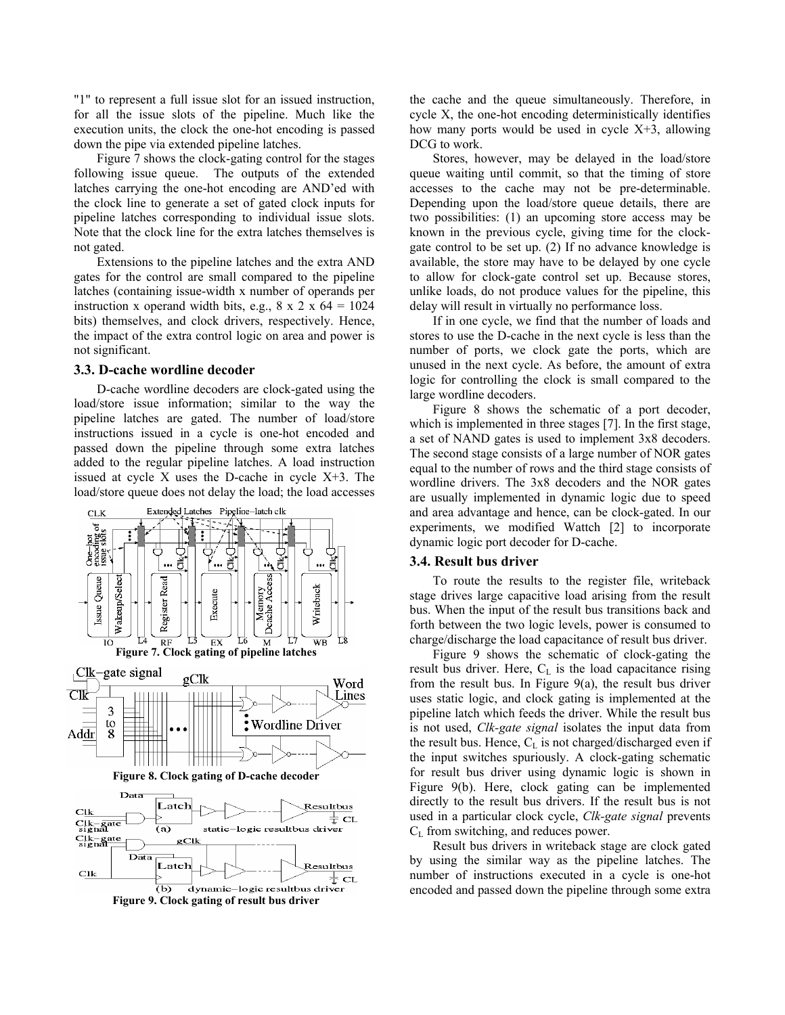"1" to represent a full issue slot for an issued instruction, for all the issue slots of the pipeline. Much like the execution units, the clock the one-hot encoding is passed down the pipe via extended pipeline latches.

Figure 7 shows the clock-gating control for the stages following issue queue. The outputs of the extended latches carrying the one-hot encoding are AND'ed with the clock line to generate a set of gated clock inputs for pipeline latches corresponding to individual issue slots. Note that the clock line for the extra latches themselves is not gated.

Extensions to the pipeline latches and the extra AND gates for the control are small compared to the pipeline latches (containing issue-width x number of operands per instruction x operand width bits, e.g.,  $8 \times 2 \times 64 = 1024$ bits) themselves, and clock drivers, respectively. Hence, the impact of the extra control logic on area and power is not significant.

#### **3.3. D-cache wordline decoder**

D-cache wordline decoders are clock-gated using the load/store issue information; similar to the way the pipeline latches are gated. The number of load/store instructions issued in a cycle is one-hot encoded and passed down the pipeline through some extra latches added to the regular pipeline latches. A load instruction issued at cycle X uses the D-cache in cycle X+3. The load/store queue does not delay the load; the load accesses



the cache and the queue simultaneously. Therefore, in cycle X, the one-hot encoding deterministically identifies how many ports would be used in cycle  $X+3$ , allowing DCG to work.

Stores, however, may be delayed in the load/store queue waiting until commit, so that the timing of store accesses to the cache may not be pre-determinable. Depending upon the load/store queue details, there are two possibilities: (1) an upcoming store access may be known in the previous cycle, giving time for the clockgate control to be set up. (2) If no advance knowledge is available, the store may have to be delayed by one cycle to allow for clock-gate control set up. Because stores, unlike loads, do not produce values for the pipeline, this delay will result in virtually no performance loss.

If in one cycle, we find that the number of loads and stores to use the D-cache in the next cycle is less than the number of ports, we clock gate the ports, which are unused in the next cycle. As before, the amount of extra logic for controlling the clock is small compared to the large wordline decoders.

Figure 8 shows the schematic of a port decoder, which is implemented in three stages [7]. In the first stage, a set of NAND gates is used to implement 3x8 decoders. The second stage consists of a large number of NOR gates equal to the number of rows and the third stage consists of wordline drivers. The 3x8 decoders and the NOR gates are usually implemented in dynamic logic due to speed and area advantage and hence, can be clock-gated. In our experiments, we modified Wattch [2] to incorporate dynamic logic port decoder for D-cache.

### **3.4. Result bus driver**

To route the results to the register file, writeback stage drives large capacitive load arising from the result bus. When the input of the result bus transitions back and forth between the two logic levels, power is consumed to charge/discharge the load capacitance of result bus driver.

Figure 9 shows the schematic of clock-gating the result bus driver. Here, C<sub>L</sub> is the load capacitance rising from the result bus. In Figure 9(a), the result bus driver uses static logic, and clock gating is implemented at the pipeline latch which feeds the driver. While the result bus is not used, *Clk-gate signal* isolates the input data from the result bus. Hence,  $C_L$  is not charged/discharged even if the input switches spuriously. A clock-gating schematic for result bus driver using dynamic logic is shown in Figure 9(b). Here, clock gating can be implemented directly to the result bus drivers. If the result bus is not used in a particular clock cycle, *Clk-gate signal* prevents  $C_{L}$  from switching, and reduces power.

Result bus drivers in writeback stage are clock gated by using the similar way as the pipeline latches. The number of instructions executed in a cycle is one-hot encoded and passed down the pipeline through some extra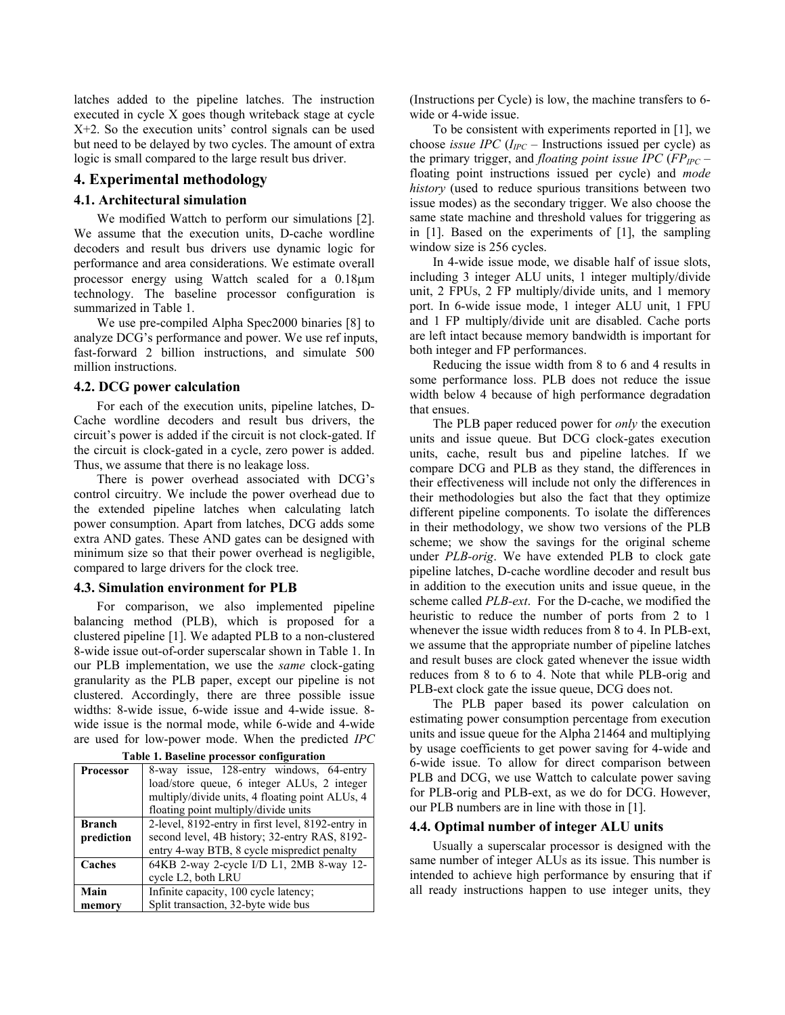latches added to the pipeline latches. The instruction executed in cycle X goes though writeback stage at cycle X+2. So the execution units' control signals can be used but need to be delayed by two cycles. The amount of extra logic is small compared to the large result bus driver.

## **4. Experimental methodology**

### **4.1. Architectural simulation**

We modified Wattch to perform our simulations [2]. We assume that the execution units, D-cache wordline decoders and result bus drivers use dynamic logic for performance and area considerations. We estimate overall processor energy using Wattch scaled for a 0.18µm technology. The baseline processor configuration is summarized in Table 1.

We use pre-compiled Alpha Spec2000 binaries [8] to analyze DCG's performance and power. We use ref inputs, fast-forward 2 billion instructions, and simulate 500 million instructions.

### **4.2. DCG power calculation**

For each of the execution units, pipeline latches, D-Cache wordline decoders and result bus drivers, the circuit's power is added if the circuit is not clock-gated. If the circuit is clock-gated in a cycle, zero power is added. Thus, we assume that there is no leakage loss.

There is power overhead associated with DCG's control circuitry. We include the power overhead due to the extended pipeline latches when calculating latch power consumption. Apart from latches, DCG adds some extra AND gates. These AND gates can be designed with minimum size so that their power overhead is negligible, compared to large drivers for the clock tree.

#### **4.3. Simulation environment for PLB**

For comparison, we also implemented pipeline balancing method (PLB), which is proposed for a clustered pipeline [1]. We adapted PLB to a non-clustered 8-wide issue out-of-order superscalar shown in Table 1. In our PLB implementation, we use the *same* clock-gating granularity as the PLB paper, except our pipeline is not clustered. Accordingly, there are three possible issue widths: 8-wide issue, 6-wide issue and 4-wide issue. 8 wide issue is the normal mode, while 6-wide and 4-wide are used for low-power mode. When the predicted *IPC*

| Table 1. Daschile processor configuration |                                                   |
|-------------------------------------------|---------------------------------------------------|
| <b>Processor</b>                          | 8-way issue, 128-entry windows, 64-entry          |
|                                           | load/store queue, 6 integer ALUs, 2 integer       |
|                                           | multiply/divide units, 4 floating point ALUs, 4   |
|                                           | floating point multiply/divide units              |
| <b>Branch</b>                             | 2-level, 8192-entry in first level, 8192-entry in |
| prediction                                | second level, 4B history; 32-entry RAS, 8192-     |
|                                           | entry 4-way BTB, 8 cycle mispredict penalty       |
| Caches                                    | 64KB 2-way 2-cycle I/D L1, 2MB 8-way 12-          |
|                                           | cycle L2, both LRU                                |
| Main                                      | Infinite capacity, 100 cycle latency;             |
| memory                                    | Split transaction, 32-byte wide bus               |

**Table 1. Baseline processor configuration** 

(Instructions per Cycle) is low, the machine transfers to 6 wide or 4-wide issue.

To be consistent with experiments reported in [1], we choose *issue IPC* ( $I_{IPC}$  – Instructions issued per cycle) as the primary trigger, and *floating point issue IPC* (*FPIPC* – floating point instructions issued per cycle) and *mode history* (used to reduce spurious transitions between two issue modes) as the secondary trigger. We also choose the same state machine and threshold values for triggering as in [1]. Based on the experiments of [1], the sampling window size is 256 cycles.

In 4-wide issue mode, we disable half of issue slots, including 3 integer ALU units, 1 integer multiply/divide unit, 2 FPUs, 2 FP multiply/divide units, and 1 memory port. In 6-wide issue mode, 1 integer ALU unit, 1 FPU and 1 FP multiply/divide unit are disabled. Cache ports are left intact because memory bandwidth is important for both integer and FP performances.

Reducing the issue width from 8 to 6 and 4 results in some performance loss. PLB does not reduce the issue width below 4 because of high performance degradation that ensues.

The PLB paper reduced power for *only* the execution units and issue queue. But DCG clock-gates execution units, cache, result bus and pipeline latches. If we compare DCG and PLB as they stand, the differences in their effectiveness will include not only the differences in their methodologies but also the fact that they optimize different pipeline components. To isolate the differences in their methodology, we show two versions of the PLB scheme; we show the savings for the original scheme under *PLB-orig*. We have extended PLB to clock gate pipeline latches, D-cache wordline decoder and result bus in addition to the execution units and issue queue, in the scheme called *PLB-ext*. For the D-cache, we modified the heuristic to reduce the number of ports from 2 to 1 whenever the issue width reduces from 8 to 4. In PLB-ext, we assume that the appropriate number of pipeline latches and result buses are clock gated whenever the issue width reduces from 8 to 6 to 4. Note that while PLB-orig and PLB-ext clock gate the issue queue, DCG does not.

The PLB paper based its power calculation on estimating power consumption percentage from execution units and issue queue for the Alpha 21464 and multiplying by usage coefficients to get power saving for 4-wide and 6-wide issue. To allow for direct comparison between PLB and DCG, we use Wattch to calculate power saving for PLB-orig and PLB-ext, as we do for DCG. However, our PLB numbers are in line with those in [1].

### **4.4. Optimal number of integer ALU units**

Usually a superscalar processor is designed with the same number of integer ALUs as its issue. This number is intended to achieve high performance by ensuring that if all ready instructions happen to use integer units, they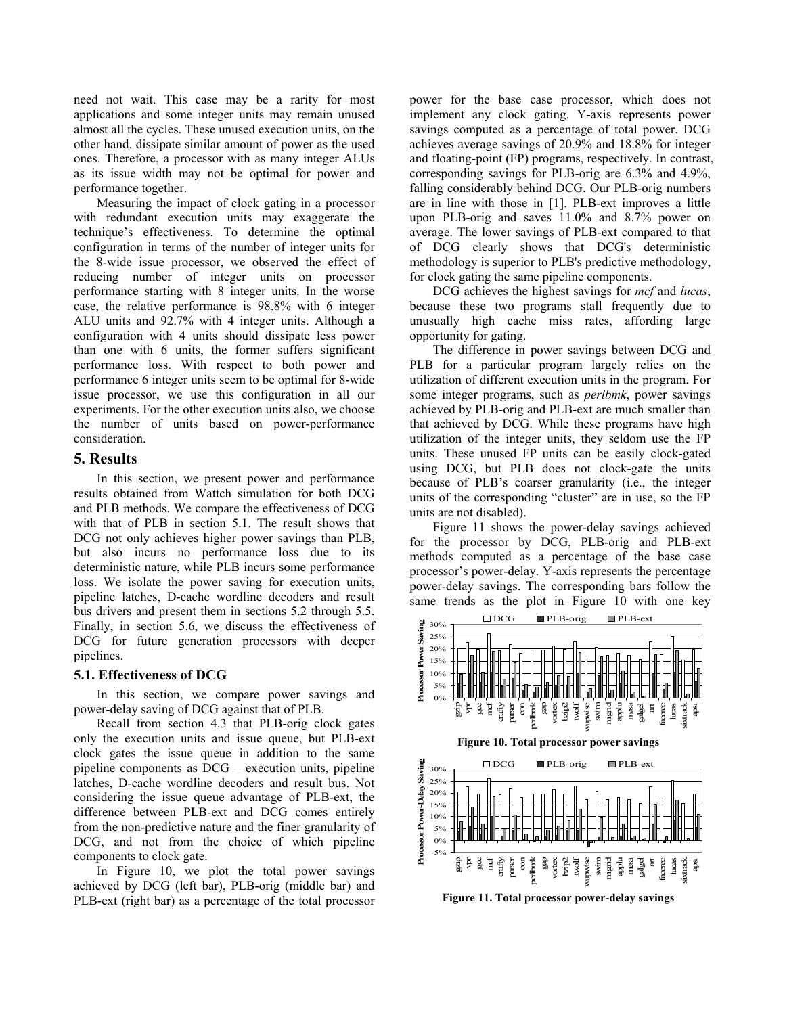need not wait. This case may be a rarity for most applications and some integer units may remain unused almost all the cycles. These unused execution units, on the other hand, dissipate similar amount of power as the used ones. Therefore, a processor with as many integer ALUs as its issue width may not be optimal for power and performance together.

Measuring the impact of clock gating in a processor with redundant execution units may exaggerate the technique's effectiveness. To determine the optimal configuration in terms of the number of integer units for the 8-wide issue processor, we observed the effect of reducing number of integer units on processor performance starting with 8 integer units. In the worse case, the relative performance is 98.8% with 6 integer ALU units and 92.7% with 4 integer units. Although a configuration with 4 units should dissipate less power than one with 6 units, the former suffers significant performance loss. With respect to both power and performance 6 integer units seem to be optimal for 8-wide issue processor, we use this configuration in all our experiments. For the other execution units also, we choose the number of units based on power-performance consideration.

### **5. Results**

In this section, we present power and performance results obtained from Wattch simulation for both DCG and PLB methods. We compare the effectiveness of DCG with that of PLB in section 5.1. The result shows that DCG not only achieves higher power savings than PLB, but also incurs no performance loss due to its deterministic nature, while PLB incurs some performance loss. We isolate the power saving for execution units, pipeline latches, D-cache wordline decoders and result bus drivers and present them in sections 5.2 through 5.5. Finally, in section 5.6, we discuss the effectiveness of DCG for future generation processors with deeper pipelines.

### **5.1. Effectiveness of DCG**

In this section, we compare power savings and power-delay saving of DCG against that of PLB.

Recall from section 4.3 that PLB-orig clock gates only the execution units and issue queue, but PLB-ext clock gates the issue queue in addition to the same pipeline components as DCG – execution units, pipeline latches, D-cache wordline decoders and result bus. Not considering the issue queue advantage of PLB-ext, the difference between PLB-ext and DCG comes entirely from the non-predictive nature and the finer granularity of DCG, and not from the choice of which pipeline components to clock gate.

In Figure 10, we plot the total power savings achieved by DCG (left bar), PLB-orig (middle bar) and PLB-ext (right bar) as a percentage of the total processor power for the base case processor, which does not implement any clock gating. Y-axis represents power savings computed as a percentage of total power. DCG achieves average savings of 20.9% and 18.8% for integer and floating-point (FP) programs, respectively. In contrast, corresponding savings for PLB-orig are 6.3% and 4.9%, falling considerably behind DCG. Our PLB-orig numbers are in line with those in [1]. PLB-ext improves a little upon PLB-orig and saves 11.0% and 8.7% power on average. The lower savings of PLB-ext compared to that of DCG clearly shows that DCG's deterministic methodology is superior to PLB's predictive methodology, for clock gating the same pipeline components.

DCG achieves the highest savings for *mcf* and *lucas*, because these two programs stall frequently due to unusually high cache miss rates, affording large opportunity for gating.

The difference in power savings between DCG and PLB for a particular program largely relies on the utilization of different execution units in the program. For some integer programs, such as *perlbmk*, power savings achieved by PLB-orig and PLB-ext are much smaller than that achieved by DCG. While these programs have high utilization of the integer units, they seldom use the FP units. These unused FP units can be easily clock-gated using DCG, but PLB does not clock-gate the units because of PLB's coarser granularity (i.e., the integer units of the corresponding "cluster" are in use, so the FP units are not disabled).

Figure 11 shows the power-delay savings achieved for the processor by DCG, PLB-orig and PLB-ext methods computed as a percentage of the base case processor's power-delay. Y-axis represents the percentage power-delay savings. The corresponding bars follow the same trends as the plot in Figure 10 with one key



**Figure 11. Total processor power-delay savings**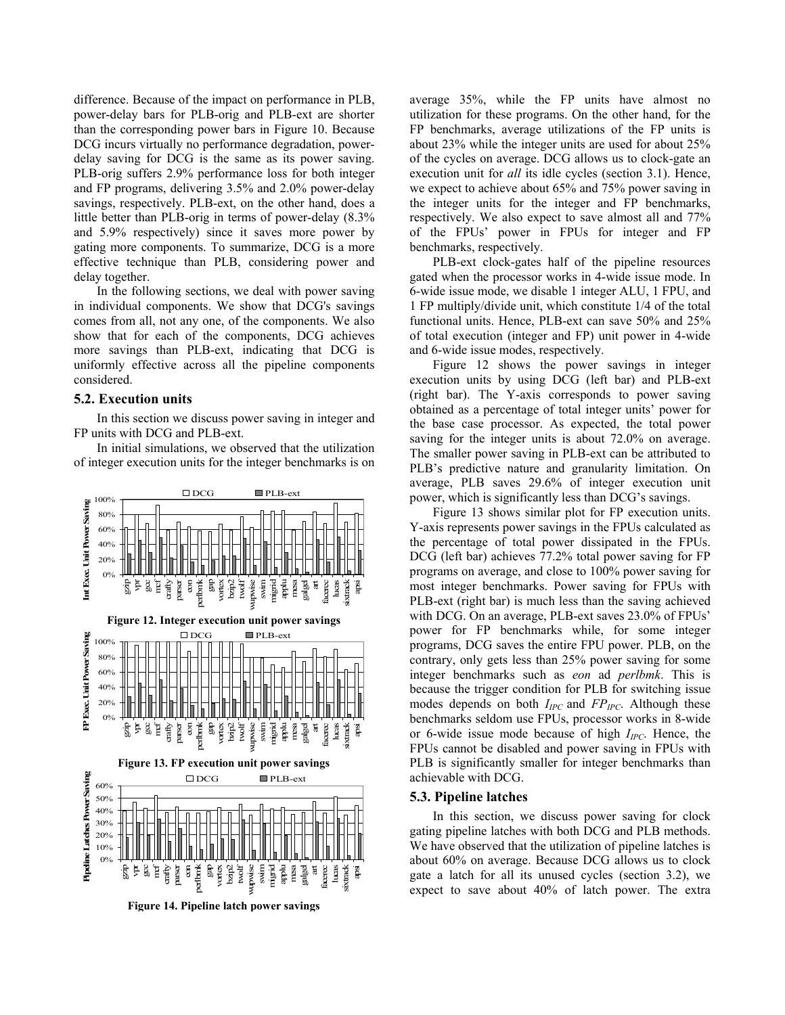difference. Because of the impact on performance in PLB, power-delay bars for PLB-orig and PLB-ext are shorter than the corresponding power bars in Figure 10. Because DCG incurs virtually no performance degradation, powerdelay saving for DCG is the same as its power saving. PLB-orig suffers 2.9% performance loss for both integer and FP programs, delivering 3.5% and 2.0% power-delay savings, respectively. PLB-ext, on the other hand, does a little better than PLB-orig in terms of power-delay (8.3% and 5.9% respectively) since it saves more power by gating more components. To summarize, DCG is a more effective technique than PLB, considering power and delay together.

In the following sections, we deal with power saving in individual components. We show that DCG's savings comes from all, not any one, of the components. We also show that for each of the components, DCG achieves more savings than PLB-ext, indicating that DCG is uniformly effective across all the pipeline components considered.

#### **5.2. Execution units**

In this section we discuss power saving in integer and FP units with DCG and PLB-ext.

In initial simulations, we observed that the utilization of integer execution units for the integer benchmarks is on



**Figure 14. Pipeline latch power savings**

average 35%, while the FP units have almost no utilization for these programs. On the other hand, for the FP benchmarks, average utilizations of the FP units is about 23% while the integer units are used for about 25% of the cycles on average. DCG allows us to clock-gate an execution unit for *all* its idle cycles (section 3.1). Hence, we expect to achieve about 65% and 75% power saving in the integer units for the integer and FP benchmarks, respectively. We also expect to save almost all and 77% of the FPUs' power in FPUs for integer and FP benchmarks, respectively.

PLB-ext clock-gates half of the pipeline resources gated when the processor works in 4-wide issue mode. In 6-wide issue mode, we disable 1 integer ALU, 1 FPU, and 1 FP multiply/divide unit, which constitute 1/4 of the total functional units. Hence, PLB-ext can save 50% and 25% of total execution (integer and FP) unit power in 4-wide and 6-wide issue modes, respectively.

Figure 12 shows the power savings in integer execution units by using DCG (left bar) and PLB-ext (right bar). The Y-axis corresponds to power saving obtained as a percentage of total integer units' power for the base case processor. As expected, the total power saving for the integer units is about 72.0% on average. The smaller power saving in PLB-ext can be attributed to PLB's predictive nature and granularity limitation. On average, PLB saves 29.6% of integer execution unit power, which is significantly less than DCG's savings.

Figure 13 shows similar plot for FP execution units. Y-axis represents power savings in the FPUs calculated as the percentage of total power dissipated in the FPUs. DCG (left bar) achieves 77.2% total power saving for FP programs on average, and close to 100% power saving for most integer benchmarks. Power saving for FPUs with PLB-ext (right bar) is much less than the saving achieved with DCG. On an average, PLB-ext saves 23.0% of FPUs' power for FP benchmarks while, for some integer programs, DCG saves the entire FPU power. PLB, on the contrary, only gets less than 25% power saving for some integer benchmarks such as *eon* ad *perlbmk*. This is because the trigger condition for PLB for switching issue modes depends on both *I<sub>IPC</sub>* and *FP<sub>IPC</sub>*. Although these benchmarks seldom use FPUs, processor works in 8-wide or 6-wide issue mode because of high *IIPC*. Hence, the FPUs cannot be disabled and power saving in FPUs with PLB is significantly smaller for integer benchmarks than achievable with DCG.

#### **5.3. Pipeline latches**

In this section, we discuss power saving for clock gating pipeline latches with both DCG and PLB methods. We have observed that the utilization of pipeline latches is about 60% on average. Because DCG allows us to clock gate a latch for all its unused cycles (section 3.2), we expect to save about 40% of latch power. The extra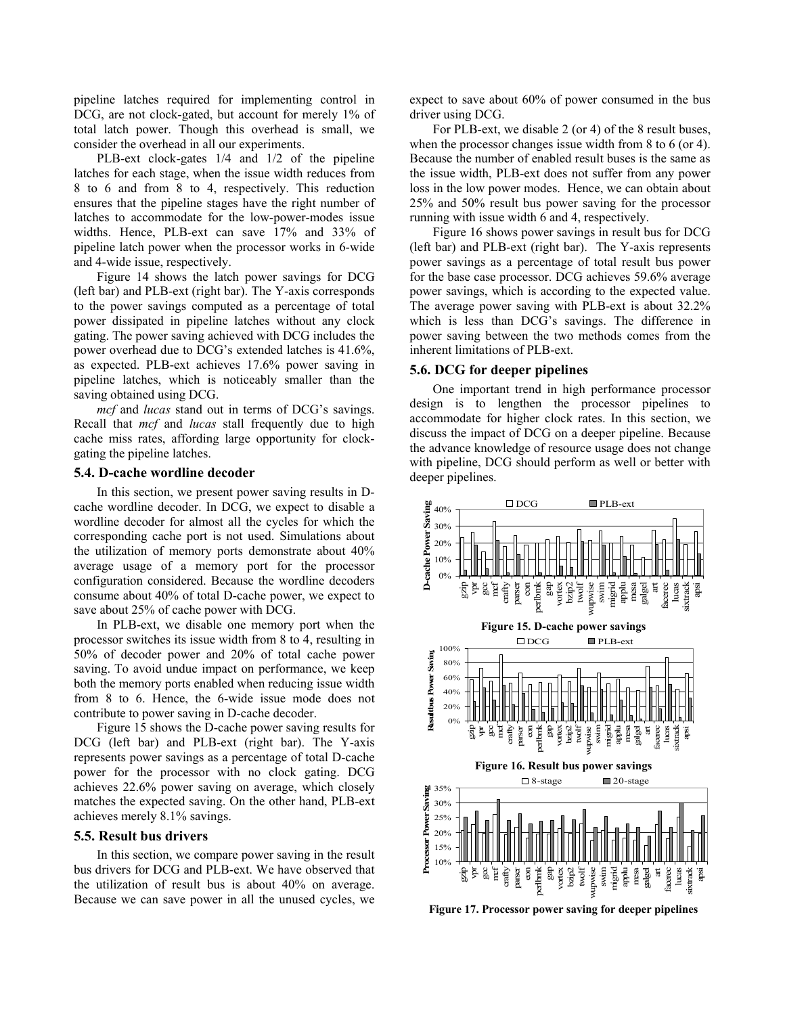pipeline latches required for implementing control in DCG, are not clock-gated, but account for merely 1% of total latch power. Though this overhead is small, we consider the overhead in all our experiments.

PLB-ext clock-gates 1/4 and 1/2 of the pipeline latches for each stage, when the issue width reduces from 8 to 6 and from 8 to 4, respectively. This reduction ensures that the pipeline stages have the right number of latches to accommodate for the low-power-modes issue widths. Hence, PLB-ext can save 17% and 33% of pipeline latch power when the processor works in 6-wide and 4-wide issue, respectively.

Figure 14 shows the latch power savings for DCG (left bar) and PLB-ext (right bar). The Y-axis corresponds to the power savings computed as a percentage of total power dissipated in pipeline latches without any clock gating. The power saving achieved with DCG includes the power overhead due to DCG's extended latches is 41.6%, as expected. PLB-ext achieves 17.6% power saving in pipeline latches, which is noticeably smaller than the saving obtained using DCG.

*mcf* and *lucas* stand out in terms of DCG's savings. Recall that *mcf* and *lucas* stall frequently due to high cache miss rates, affording large opportunity for clockgating the pipeline latches.

#### **5.4. D-cache wordline decoder**

In this section, we present power saving results in Dcache wordline decoder. In DCG, we expect to disable a wordline decoder for almost all the cycles for which the corresponding cache port is not used. Simulations about the utilization of memory ports demonstrate about 40% average usage of a memory port for the processor configuration considered. Because the wordline decoders consume about 40% of total D-cache power, we expect to save about 25% of cache power with DCG.

In PLB-ext, we disable one memory port when the processor switches its issue width from 8 to 4, resulting in 50% of decoder power and 20% of total cache power saving. To avoid undue impact on performance, we keep both the memory ports enabled when reducing issue width from 8 to 6. Hence, the 6-wide issue mode does not contribute to power saving in D-cache decoder.

Figure 15 shows the D-cache power saving results for DCG (left bar) and PLB-ext (right bar). The Y-axis represents power savings as a percentage of total D-cache power for the processor with no clock gating. DCG achieves 22.6% power saving on average, which closely matches the expected saving. On the other hand, PLB-ext achieves merely 8.1% savings.

#### **5.5. Result bus drivers**

In this section, we compare power saving in the result bus drivers for DCG and PLB-ext. We have observed that the utilization of result bus is about 40% on average. Because we can save power in all the unused cycles, we expect to save about 60% of power consumed in the bus driver using DCG.

For PLB-ext, we disable 2 (or 4) of the 8 result buses, when the processor changes issue width from 8 to 6 (or 4). Because the number of enabled result buses is the same as the issue width, PLB-ext does not suffer from any power loss in the low power modes. Hence, we can obtain about 25% and 50% result bus power saving for the processor running with issue width 6 and 4, respectively.

Figure 16 shows power savings in result bus for DCG (left bar) and PLB-ext (right bar). The Y-axis represents power savings as a percentage of total result bus power for the base case processor. DCG achieves 59.6% average power savings, which is according to the expected value. The average power saving with PLB-ext is about 32.2% which is less than DCG's savings. The difference in power saving between the two methods comes from the inherent limitations of PLB-ext.

#### **5.6. DCG for deeper pipelines**

One important trend in high performance processor design is to lengthen the processor pipelines to accommodate for higher clock rates. In this section, we discuss the impact of DCG on a deeper pipeline. Because the advance knowledge of resource usage does not change with pipeline, DCG should perform as well or better with deeper pipelines.



**Figure 17. Processor power saving for deeper pipelines**